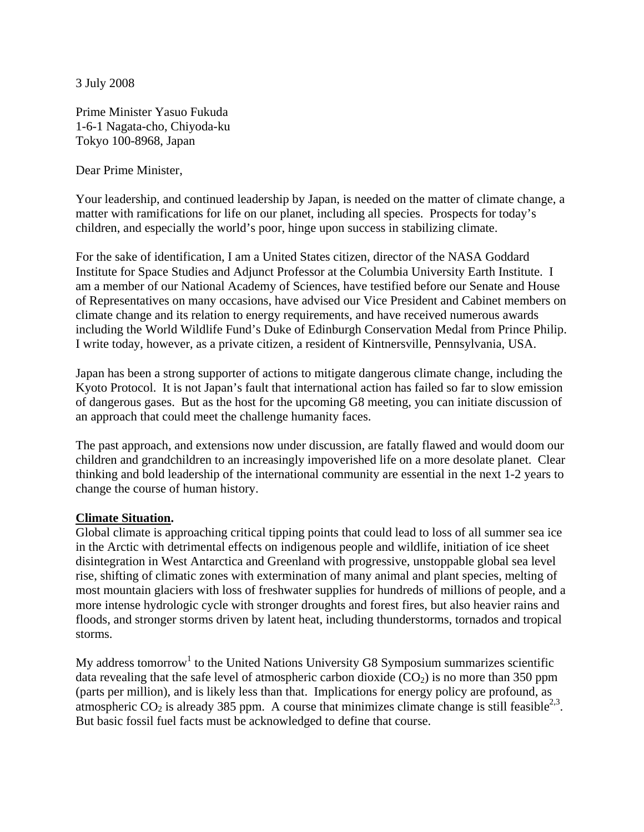3 July 2008

Prime Minister Yasuo Fukuda 1-6-1 Nagata-cho, Chiyoda-ku Tokyo 100-8968, Japan

Dear Prime Minister,

Your leadership, and continued leadership by Japan, is needed on the matter of climate change, a matter with ramifications for life on our planet, including all species. Prospects for today's children, and especially the world's poor, hinge upon success in stabilizing climate.

For the sake of identification, I am a United States citizen, director of the NASA Goddard Institute for Space Studies and Adjunct Professor at the Columbia University Earth Institute. I am a member of our National Academy of Sciences, have testified before our Senate and House of Representatives on many occasions, have advised our Vice President and Cabinet members on climate change and its relation to energy requirements, and have received numerous awards including the World Wildlife Fund's Duke of Edinburgh Conservation Medal from Prince Philip. I write today, however, as a private citizen, a resident of Kintnersville, Pennsylvania, USA.

Japan has been a strong supporter of actions to mitigate dangerous climate change, including the Kyoto Protocol. It is not Japan's fault that international action has failed so far to slow emission of dangerous gases. But as the host for the upcoming G8 meeting, you can initiate discussion of an approach that could meet the challenge humanity faces.

The past approach, and extensions now under discussion, are fatally flawed and would doom our children and grandchildren to an increasingly impoverished life on a more desolate planet. Clear thinking and bold leadership of the international community are essential in the next 1-2 years to change the course of human history.

## **Climate Situation.**

Global climate is approaching critical tipping points that could lead to loss of all summer sea ice in the Arctic with detrimental effects on indigenous people and wildlife, initiation of ice sheet disintegration in West Antarctica and Greenland with progressive, unstoppable global sea level rise, shifting of climatic zones with extermination of many animal and plant species, melting of most mountain glaciers with loss of freshwater supplies for hundreds of millions of people, and a more intense hydrologic cycle with stronger droughts and forest fires, but also heavier rains and floods, and stronger storms driven by latent heat, including thunderstorms, tornados and tropical storms.

My address tomorrow<sup>1</sup> to the United Nations University G8 Symposium summarizes scientific data revealing that the safe level of atmospheric carbon dioxide  $(CO<sub>2</sub>)$  is no more than 350 ppm (parts per million), and is likely less than that. Implications for energy policy are profound, as atmospheric  $CO_2$  is already 385 ppm. A course that minimizes climate change is still feasible<sup>2,3</sup>. But basic fossil fuel facts must be acknowledged to define that course.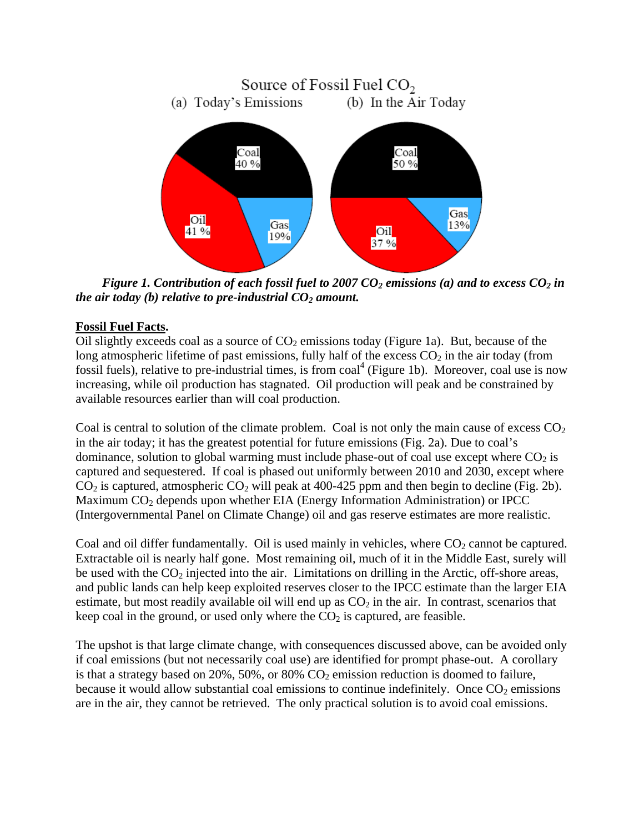

*Figure 1. Contribution of each fossil fuel to 2007 CO<sub>2</sub> emissions (a) and to excess CO<sub>2</sub> in the air today (b) relative to pre-industrial*  $CO<sub>2</sub>$  *amount.* 

## **Fossil Fuel Facts.**

Oil slightly exceeds coal as a source of  $CO<sub>2</sub>$  emissions today (Figure 1a). But, because of the long atmospheric lifetime of past emissions, fully half of the excess  $CO<sub>2</sub>$  in the air today (from fossil fuels), relative to pre-industrial times, is from coal<sup>4</sup> (Figure 1b). Moreover, coal use is now increasing, while oil production has stagnated. Oil production will peak and be constrained by available resources earlier than will coal production.

Coal is central to solution of the climate problem. Coal is not only the main cause of excess  $CO<sub>2</sub>$ in the air today; it has the greatest potential for future emissions (Fig. 2a). Due to coal's dominance, solution to global warming must include phase-out of coal use except where  $CO<sub>2</sub>$  is captured and sequestered. If coal is phased out uniformly between 2010 and 2030, except where  $CO<sub>2</sub>$  is captured, atmospheric  $CO<sub>2</sub>$  will peak at 400-425 ppm and then begin to decline (Fig. 2b). Maximum  $CO<sub>2</sub>$  depends upon whether EIA (Energy Information Administration) or IPCC (Intergovernmental Panel on Climate Change) oil and gas reserve estimates are more realistic.

Coal and oil differ fundamentally. Oil is used mainly in vehicles, where  $CO<sub>2</sub>$  cannot be captured. Extractable oil is nearly half gone. Most remaining oil, much of it in the Middle East, surely will be used with the  $CO_2$  injected into the air. Limitations on drilling in the Arctic, off-shore areas, and public lands can help keep exploited reserves closer to the IPCC estimate than the larger EIA estimate, but most readily available oil will end up as  $CO<sub>2</sub>$  in the air. In contrast, scenarios that keep coal in the ground, or used only where the  $CO<sub>2</sub>$  is captured, are feasible.

The upshot is that large climate change, with consequences discussed above, can be avoided only if coal emissions (but not necessarily coal use) are identified for prompt phase-out. A corollary is that a strategy based on 20%, 50%, or 80%  $CO<sub>2</sub>$  emission reduction is doomed to failure, because it would allow substantial coal emissions to continue indefinitely. Once  $CO<sub>2</sub>$  emissions are in the air, they cannot be retrieved. The only practical solution is to avoid coal emissions.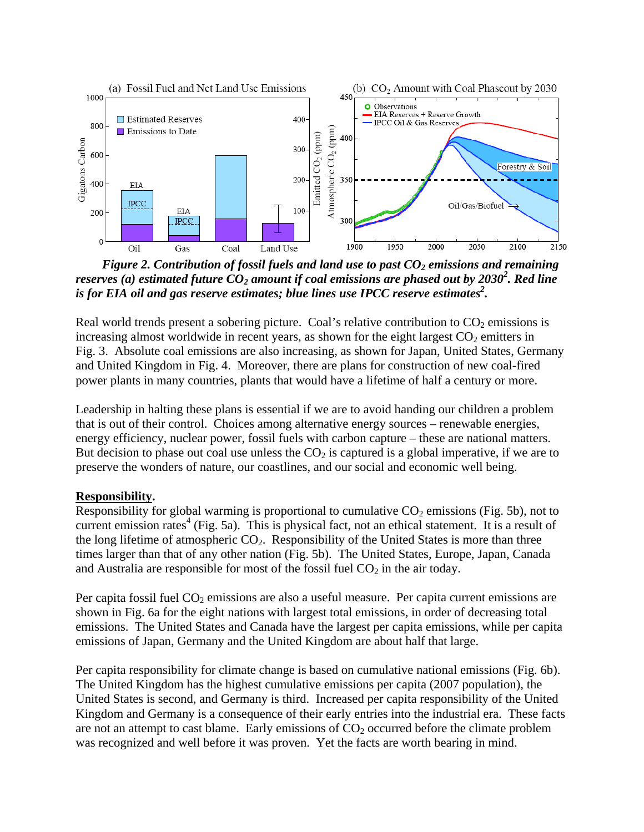

*Figure 2. Contribution of fossil fuels and land use to past CO<sub>2</sub> emissions and remaining* reserves (a) estimated future  $CO_2$  amount if coal emissions are phased out by 2030<sup>2</sup>. Red line is for EIA oil and gas reserve estimates; blue lines use IPCC reserve estimates<sup>2</sup>.

Real world trends present a sobering picture. Coal's relative contribution to  $CO<sub>2</sub>$  emissions is increasing almost worldwide in recent years, as shown for the eight largest  $CO<sub>2</sub>$  emitters in Fig. 3. Absolute coal emissions are also increasing, as shown for Japan, United States, Germany and United Kingdom in Fig. 4. Moreover, there are plans for construction of new coal-fired power plants in many countries, plants that would have a lifetime of half a century or more.

Leadership in halting these plans is essential if we are to avoid handing our children a problem that is out of their control. Choices among alternative energy sources – renewable energies, energy efficiency, nuclear power, fossil fuels with carbon capture – these are national matters. But decision to phase out coal use unless the  $CO<sub>2</sub>$  is captured is a global imperative, if we are to preserve the wonders of nature, our coastlines, and our social and economic well being.

## **Responsibility.**

Responsibility for global warming is proportional to cumulative  $CO<sub>2</sub>$  emissions (Fig. 5b), not to current emission rates<sup>4</sup> (Fig. 5a). This is physical fact, not an ethical statement. It is a result of the long lifetime of atmospheric  $CO<sub>2</sub>$ . Responsibility of the United States is more than three times larger than that of any other nation (Fig. 5b). The United States, Europe, Japan, Canada and Australia are responsible for most of the fossil fuel  $CO<sub>2</sub>$  in the air today.

Per capita fossil fuel  $CO<sub>2</sub>$  emissions are also a useful measure. Per capita current emissions are shown in Fig. 6a for the eight nations with largest total emissions, in order of decreasing total emissions. The United States and Canada have the largest per capita emissions, while per capita emissions of Japan, Germany and the United Kingdom are about half that large.

Per capita responsibility for climate change is based on cumulative national emissions (Fig. 6b). The United Kingdom has the highest cumulative emissions per capita (2007 population), the United States is second, and Germany is third. Increased per capita responsibility of the United Kingdom and Germany is a consequence of their early entries into the industrial era. These facts are not an attempt to cast blame. Early emissions of  $CO<sub>2</sub>$  occurred before the climate problem was recognized and well before it was proven. Yet the facts are worth bearing in mind.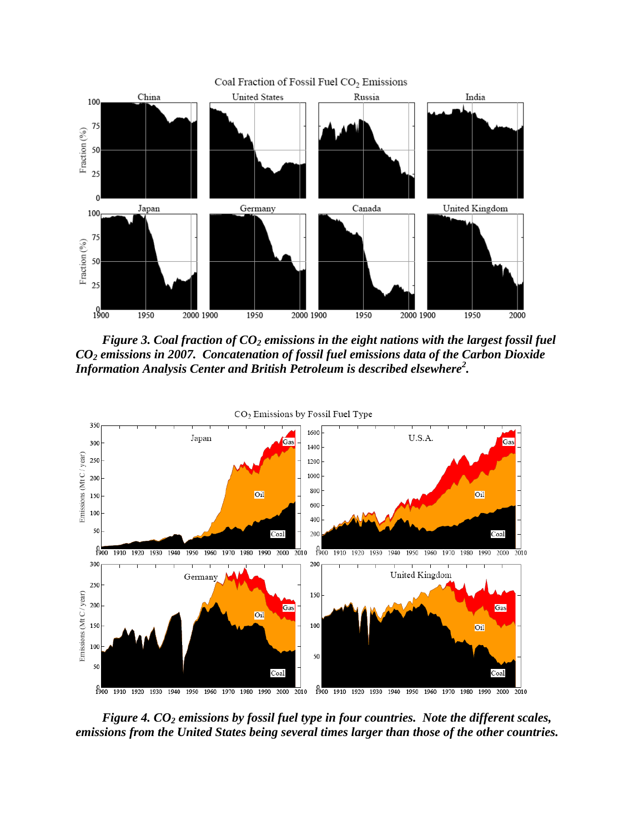

*Figure 3. Coal fraction of CO<sub>2</sub> emissions in the eight nations with the largest fossil fuel CO2 emissions in 2007. Concatenation of fossil fuel emissions data of the Carbon Dioxide Information Analysis Center and British Petroleum is described elsewhere<sup>2</sup> .* 



*Figure 4. CO<sub>2</sub> emissions by fossil fuel type in four countries. Note the different scales, emissions from the United States being several times larger than those of the other countries.*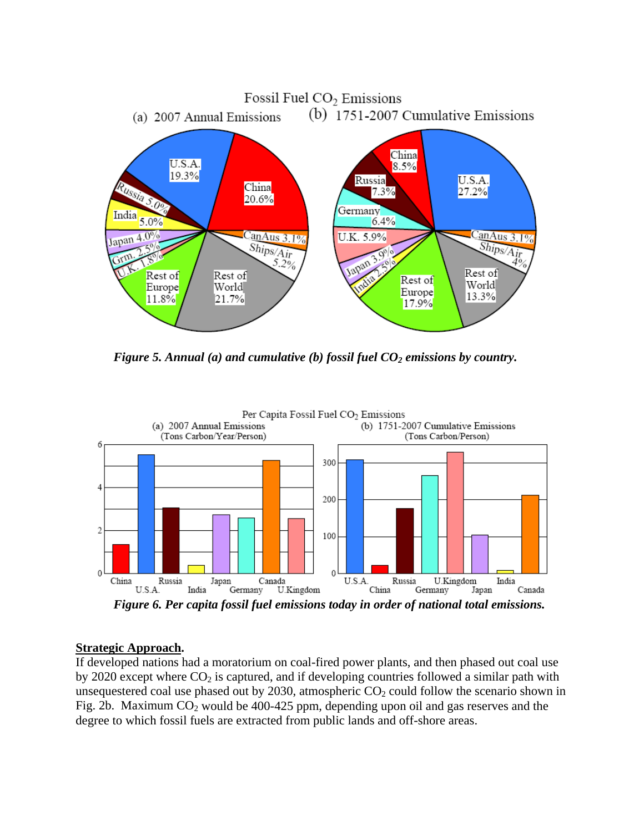

*Figure 5. Annual (a) and cumulative (b) fossil fuel CO<sub>2</sub> emissions by country.* 



## **Strategic Approach.**

If developed nations had a moratorium on coal-fired power plants, and then phased out coal use by 2020 except where  $CO_2$  is captured, and if developing countries followed a similar path with unsequestered coal use phased out by 2030, atmospheric  $CO<sub>2</sub>$  could follow the scenario shown in Fig. 2b. Maximum  $CO<sub>2</sub>$  would be 400-425 ppm, depending upon oil and gas reserves and the degree to which fossil fuels are extracted from public lands and off-shore areas.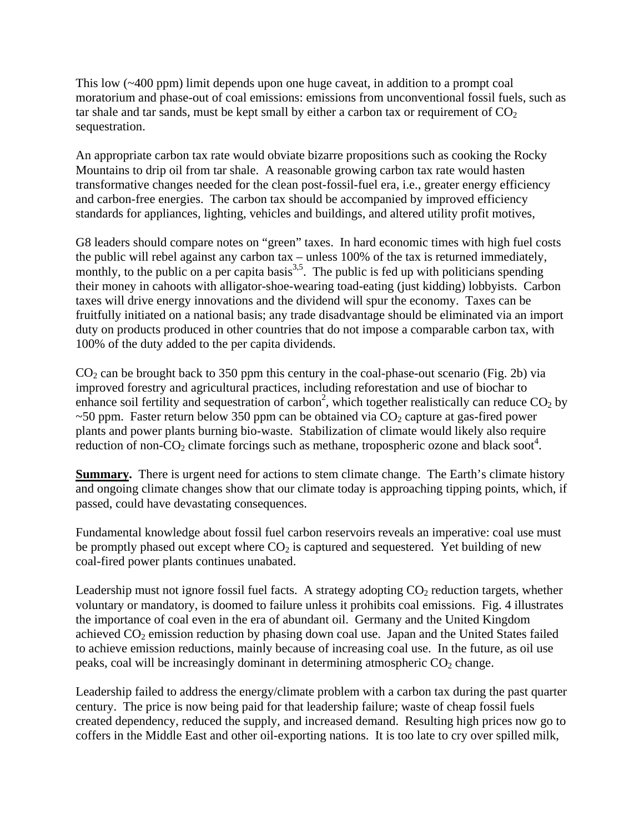This low (~400 ppm) limit depends upon one huge caveat, in addition to a prompt coal moratorium and phase-out of coal emissions: emissions from unconventional fossil fuels, such as tar shale and tar sands, must be kept small by either a carbon tax or requirement of  $CO<sub>2</sub>$ sequestration.

An appropriate carbon tax rate would obviate bizarre propositions such as cooking the Rocky Mountains to drip oil from tar shale. A reasonable growing carbon tax rate would hasten transformative changes needed for the clean post-fossil-fuel era, i.e., greater energy efficiency and carbon-free energies. The carbon tax should be accompanied by improved efficiency standards for appliances, lighting, vehicles and buildings, and altered utility profit motives,

G8 leaders should compare notes on "green" taxes. In hard economic times with high fuel costs the public will rebel against any carbon tax – unless 100% of the tax is returned immediately, monthly, to the public on a per capita basis<sup>3,5</sup>. The public is fed up with politicians spending their money in cahoots with alligator-shoe-wearing toad-eating (just kidding) lobbyists. Carbon taxes will drive energy innovations and the dividend will spur the economy. Taxes can be fruitfully initiated on a national basis; any trade disadvantage should be eliminated via an import duty on products produced in other countries that do not impose a comparable carbon tax, with 100% of the duty added to the per capita dividends.

 $CO<sub>2</sub>$  can be brought back to 350 ppm this century in the coal-phase-out scenario (Fig. 2b) via improved forestry and agricultural practices, including reforestation and use of biochar to enhance soil fertility and sequestration of carbon<sup>2</sup>, which together realistically can reduce  $CO<sub>2</sub>$  by  $\sim$  50 ppm. Faster return below 350 ppm can be obtained via CO<sub>2</sub> capture at gas-fired power plants and power plants burning bio-waste. Stabilization of climate would likely also require reduction of non- $CO_2$  climate forcings such as methane, tropospheric ozone and black soot<sup>4</sup>.

**Summary.** There is urgent need for actions to stem climate change. The Earth's climate history and ongoing climate changes show that our climate today is approaching tipping points, which, if passed, could have devastating consequences.

Fundamental knowledge about fossil fuel carbon reservoirs reveals an imperative: coal use must be promptly phased out except where  $CO<sub>2</sub>$  is captured and sequestered. Yet building of new coal-fired power plants continues unabated.

Leadership must not ignore fossil fuel facts. A strategy adopting  $CO<sub>2</sub>$  reduction targets, whether voluntary or mandatory, is doomed to failure unless it prohibits coal emissions. Fig. 4 illustrates the importance of coal even in the era of abundant oil. Germany and the United Kingdom achieved  $CO<sub>2</sub>$  emission reduction by phasing down coal use. Japan and the United States failed to achieve emission reductions, mainly because of increasing coal use. In the future, as oil use peaks, coal will be increasingly dominant in determining atmospheric  $CO<sub>2</sub>$  change.

Leadership failed to address the energy/climate problem with a carbon tax during the past quarter century. The price is now being paid for that leadership failure; waste of cheap fossil fuels created dependency, reduced the supply, and increased demand. Resulting high prices now go to coffers in the Middle East and other oil-exporting nations. It is too late to cry over spilled milk,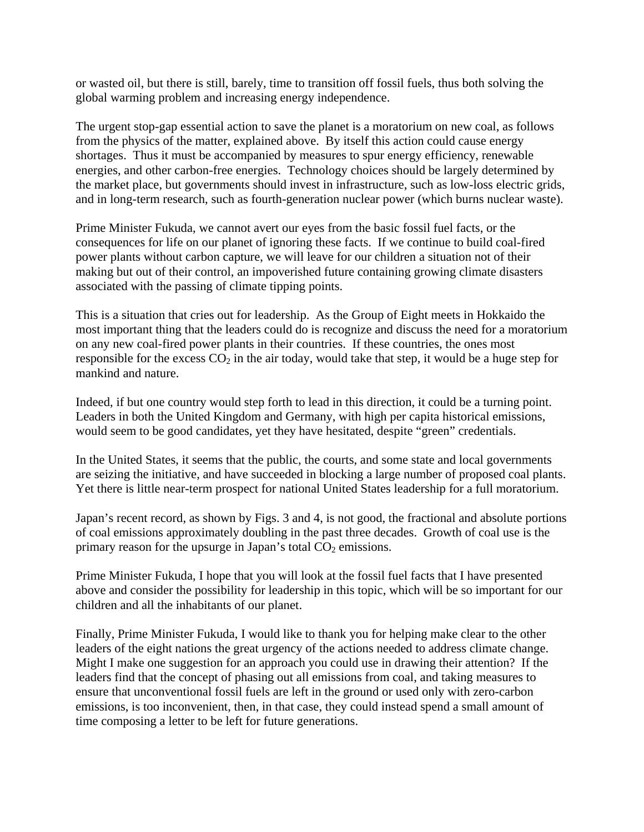or wasted oil, but there is still, barely, time to transition off fossil fuels, thus both solving the global warming problem and increasing energy independence.

The urgent stop-gap essential action to save the planet is a moratorium on new coal, as follows from the physics of the matter, explained above. By itself this action could cause energy shortages. Thus it must be accompanied by measures to spur energy efficiency, renewable energies, and other carbon-free energies. Technology choices should be largely determined by the market place, but governments should invest in infrastructure, such as low-loss electric grids, and in long-term research, such as fourth-generation nuclear power (which burns nuclear waste).

Prime Minister Fukuda, we cannot avert our eyes from the basic fossil fuel facts, or the consequences for life on our planet of ignoring these facts. If we continue to build coal-fired power plants without carbon capture, we will leave for our children a situation not of their making but out of their control, an impoverished future containing growing climate disasters associated with the passing of climate tipping points.

This is a situation that cries out for leadership. As the Group of Eight meets in Hokkaido the most important thing that the leaders could do is recognize and discuss the need for a moratorium on any new coal-fired power plants in their countries. If these countries, the ones most responsible for the excess  $CO_2$  in the air today, would take that step, it would be a huge step for mankind and nature.

Indeed, if but one country would step forth to lead in this direction, it could be a turning point. Leaders in both the United Kingdom and Germany, with high per capita historical emissions, would seem to be good candidates, yet they have hesitated, despite "green" credentials.

In the United States, it seems that the public, the courts, and some state and local governments are seizing the initiative, and have succeeded in blocking a large number of proposed coal plants. Yet there is little near-term prospect for national United States leadership for a full moratorium.

Japan's recent record, as shown by Figs. 3 and 4, is not good, the fractional and absolute portions of coal emissions approximately doubling in the past three decades. Growth of coal use is the primary reason for the upsurge in Japan's total  $CO<sub>2</sub>$  emissions.

Prime Minister Fukuda, I hope that you will look at the fossil fuel facts that I have presented above and consider the possibility for leadership in this topic, which will be so important for our children and all the inhabitants of our planet.

Finally, Prime Minister Fukuda, I would like to thank you for helping make clear to the other leaders of the eight nations the great urgency of the actions needed to address climate change. Might I make one suggestion for an approach you could use in drawing their attention? If the leaders find that the concept of phasing out all emissions from coal, and taking measures to ensure that unconventional fossil fuels are left in the ground or used only with zero-carbon emissions, is too inconvenient, then, in that case, they could instead spend a small amount of time composing a letter to be left for future generations.